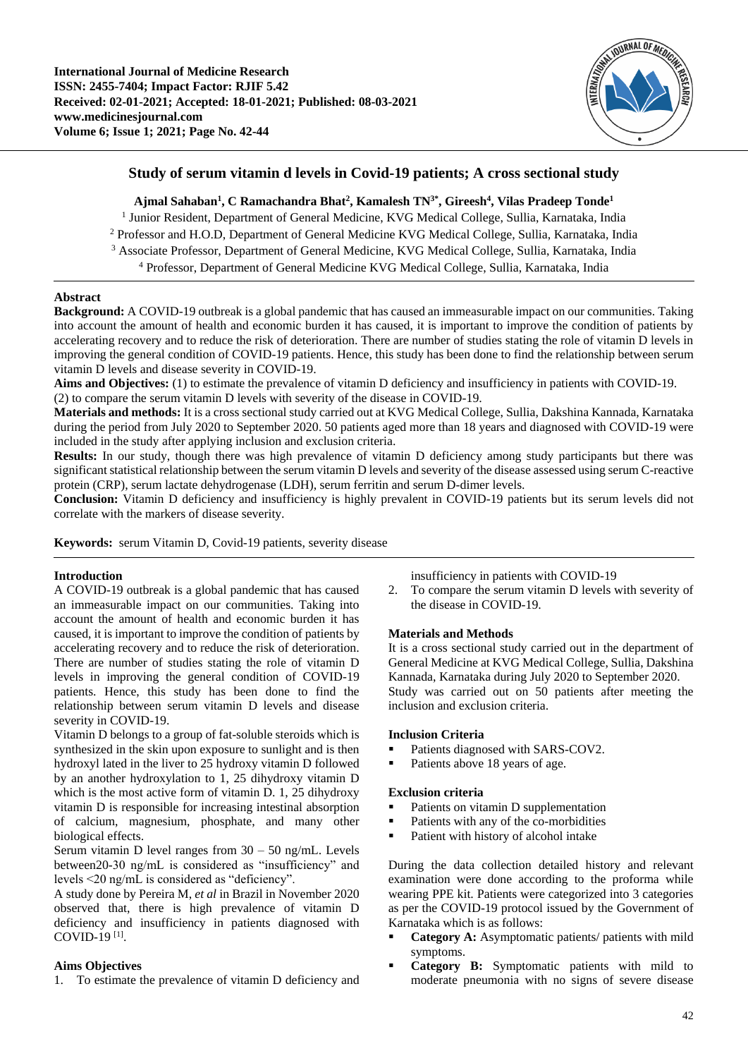

# **Study of serum vitamin d levels in Covid-19 patients; A cross sectional study**

# **Ajmal Sahaban<sup>1</sup> , C Ramachandra Bhat<sup>2</sup> , Kamalesh TN3\*, Gireesh<sup>4</sup> , Vilas Pradeep Tonde<sup>1</sup>**

<sup>1</sup> Junior Resident, Department of General Medicine, KVG Medical College, Sullia, Karnataka, India Professor and H.O.D, Department of General Medicine KVG Medical College, Sullia, Karnataka, India Associate Professor, Department of General Medicine, KVG Medical College, Sullia, Karnataka, India Professor, Department of General Medicine KVG Medical College, Sullia, Karnataka, India

# **Abstract**

**Background:** A COVID-19 outbreak is a global pandemic that has caused an immeasurable impact on our communities. Taking into account the amount of health and economic burden it has caused, it is important to improve the condition of patients by accelerating recovery and to reduce the risk of deterioration. There are number of studies stating the role of vitamin D levels in improving the general condition of COVID-19 patients. Hence, this study has been done to find the relationship between serum vitamin D levels and disease severity in COVID-19.

**Aims and Objectives:** (1) to estimate the prevalence of vitamin D deficiency and insufficiency in patients with COVID-19. (2) to compare the serum vitamin D levels with severity of the disease in COVID-19.

**Materials and methods:** It is a cross sectional study carried out at KVG Medical College, Sullia, Dakshina Kannada, Karnataka during the period from July 2020 to September 2020. 50 patients aged more than 18 years and diagnosed with COVID-19 were included in the study after applying inclusion and exclusion criteria.

**Results:** In our study, though there was high prevalence of vitamin D deficiency among study participants but there was significant statistical relationship between the serum vitamin D levels and severity of the disease assessed using serum C-reactive protein (CRP), serum lactate dehydrogenase (LDH), serum ferritin and serum D-dimer levels.

**Conclusion:** Vitamin D deficiency and insufficiency is highly prevalent in COVID-19 patients but its serum levels did not correlate with the markers of disease severity.

**Keywords:** serum Vitamin D, Covid-19 patients, severity disease

### **Introduction**

A COVID-19 outbreak is a global pandemic that has caused an immeasurable impact on our communities. Taking into account the amount of health and economic burden it has caused, it is important to improve the condition of patients by accelerating recovery and to reduce the risk of deterioration. There are number of studies stating the role of vitamin D levels in improving the general condition of COVID-19 patients. Hence, this study has been done to find the relationship between serum vitamin D levels and disease severity in COVID-19.

Vitamin D belongs to a group of fat-soluble steroids which is synthesized in the skin upon exposure to sunlight and is then hydroxyl lated in the liver to 25 hydroxy vitamin D followed by an another hydroxylation to 1, 25 dihydroxy vitamin D which is the most active form of vitamin D. 1, 25 dihydroxy vitamin D is responsible for increasing intestinal absorption of calcium, magnesium, phosphate, and many other biological effects.

Serum vitamin D level ranges from  $30 - 50$  ng/mL. Levels between20-30 ng/mL is considered as "insufficiency" and levels <20 ng/mL is considered as "deficiency".

A study done by Pereira M, *et al* in Brazil in November 2020 observed that, there is high prevalence of vitamin D deficiency and insufficiency in patients diagnosed with COVID-19 [1] .

### **Aims Objectives**

1. To estimate the prevalence of vitamin D deficiency and

insufficiency in patients with COVID-19

2. To compare the serum vitamin D levels with severity of the disease in COVID-19.

#### **Materials and Methods**

It is a cross sectional study carried out in the department of General Medicine at KVG Medical College, Sullia, Dakshina Kannada, Karnataka during July 2020 to September 2020. Study was carried out on 50 patients after meeting the inclusion and exclusion criteria.

#### **Inclusion Criteria**

- Patients diagnosed with SARS-COV2.
- Patients above 18 years of age.

#### **Exclusion criteria**

- Patients on vitamin D supplementation
- Patients with any of the co-morbidities
- Patient with history of alcohol intake

During the data collection detailed history and relevant examination were done according to the proforma while wearing PPE kit. Patients were categorized into 3 categories as per the COVID-19 protocol issued by the Government of Karnataka which is as follows:

- **Category A:** Asymptomatic patients/ patients with mild symptoms.
- **Category B:** Symptomatic patients with mild to moderate pneumonia with no signs of severe disease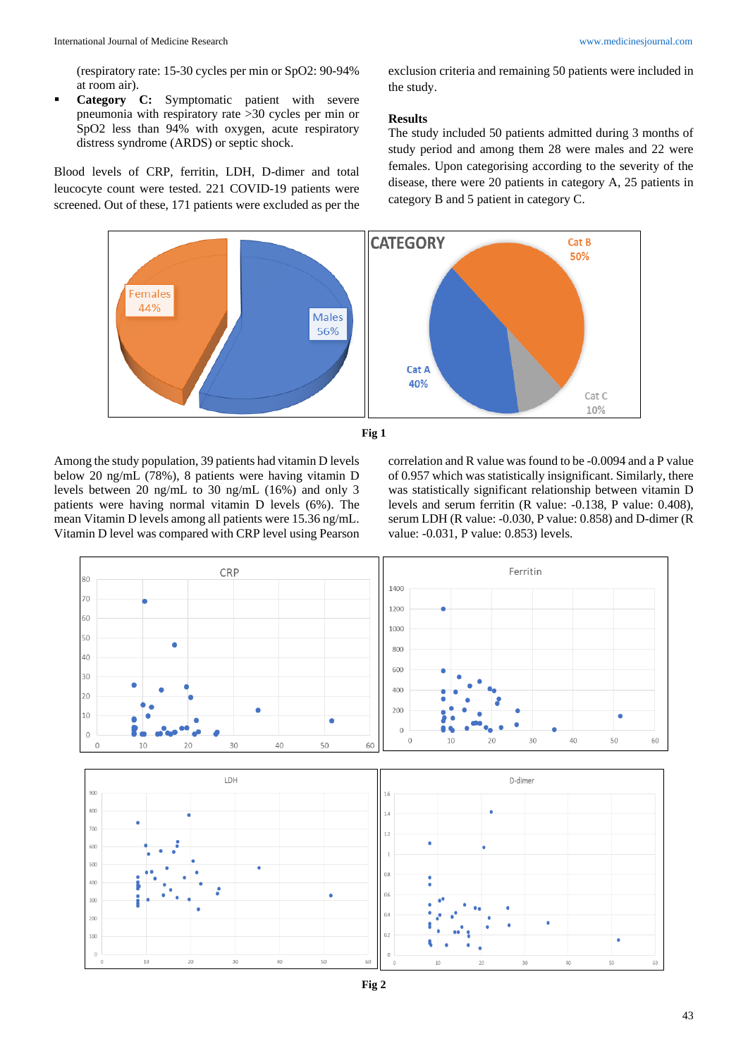(respiratory rate: 15-30 cycles per min or SpO2: 90-94% at room air).

 **Category C:** Symptomatic patient with severe pneumonia with respiratory rate >30 cycles per min or SpO2 less than 94% with oxygen, acute respiratory distress syndrome (ARDS) or septic shock.

Blood levels of CRP, ferritin, LDH, D-dimer and total leucocyte count were tested. 221 COVID-19 patients were screened. Out of these, 171 patients were excluded as per the

exclusion criteria and remaining 50 patients were included in the study.

### **Results**

The study included 50 patients admitted during 3 months of study period and among them 28 were males and 22 were females. Upon categorising according to the severity of the disease, there were 20 patients in category A, 25 patients in category B and 5 patient in category C.





Among the study population, 39 patients had vitamin D levels below 20 ng/mL (78%), 8 patients were having vitamin D levels between 20 ng/mL to 30 ng/mL (16%) and only 3 patients were having normal vitamin D levels (6%). The mean Vitamin D levels among all patients were 15.36 ng/mL. Vitamin D level was compared with CRP level using Pearson correlation and R value was found to be -0.0094 and a P value of 0.957 which was statistically insignificant. Similarly, there was statistically significant relationship between vitamin D levels and serum ferritin (R value: -0.138, P value: 0.408), serum LDH (R value: -0.030, P value: 0.858) and D-dimer (R value: -0.031, P value: 0.853) levels.